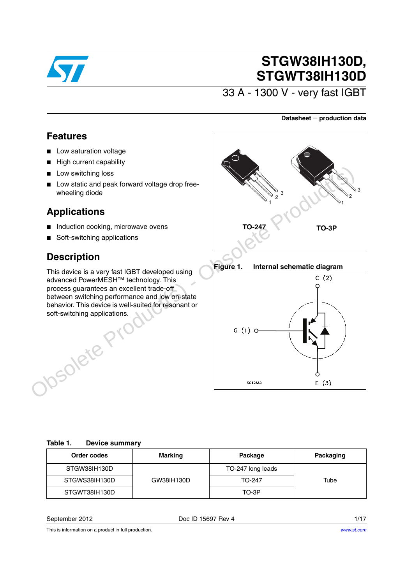

# **STGW38IH130D, STGWT38IH130D**

33 A - 1300 V - very fast IGBT

### **Datasheet** − **production data**

### **Features**

- Low saturation voltage
- High current capability
- Low switching loss
- Low static and peak forward voltage drop freewheeling diode

## **Applications**

- Induction cooking, microwave ovens
- Soft-switching applications

## **Description**

This device is a very fast IGBT developed using advanced PowerMESH™ technology. This process guarantees an excellent trade-off between switching performance and low on-state behavior. This device is well-suited for resonant or soft-switching applications.



### **Figure 1. Internal schematic diagram**



### <span id="page-0-0"></span>**Table 1. Device summary**

| Order codes   | Marking    | Package           | Packaging |
|---------------|------------|-------------------|-----------|
| STGW38IH130D  |            | TO-247 long leads |           |
| STGWS38IH130D | GW38IH130D | TO-247            | Tube      |
| STGWT38IH130D |            | TO-3P             |           |

September 2012 **Doce ID 15697 Rev 4** 1/17

This is information on a product in full production.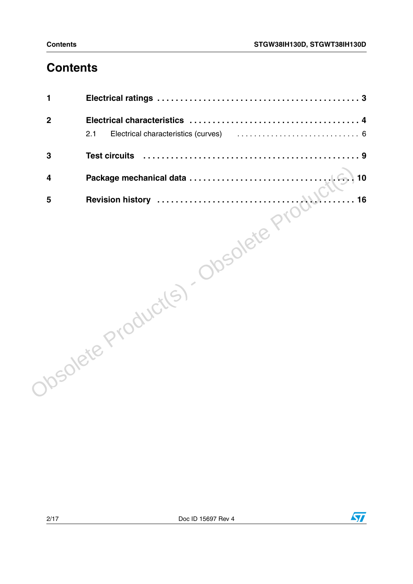## **Contents**

| 1           |                      |
|-------------|----------------------|
| $\mathbf 2$ |                      |
|             | 2.1                  |
| 3           | <b>Test circuits</b> |
| 4           | 10                   |
| 5           | 16                   |
|             | Josolete Products)   |

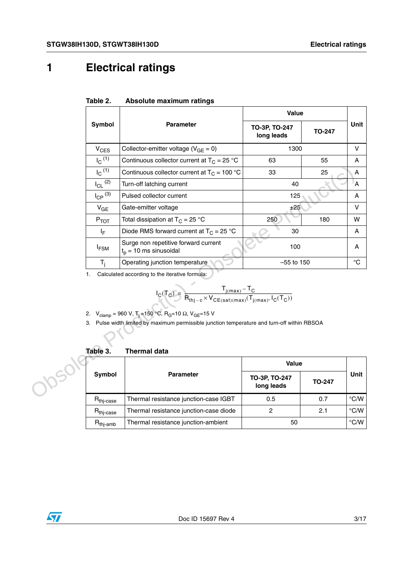## <span id="page-2-0"></span>**1 Electrical ratings**

|       |                                                                                                                                                                                                                                                                                                                                         |                                                                  | Value                       |               |               |  |
|-------|-----------------------------------------------------------------------------------------------------------------------------------------------------------------------------------------------------------------------------------------------------------------------------------------------------------------------------------------|------------------------------------------------------------------|-----------------------------|---------------|---------------|--|
|       | Symbol                                                                                                                                                                                                                                                                                                                                  | <b>Parameter</b>                                                 | TO-3P, TO-247<br>long leads | <b>TO-247</b> | <b>Unit</b>   |  |
|       | $V_{CES}$                                                                                                                                                                                                                                                                                                                               | Collector-emitter voltage ( $V_{GE} = 0$ )                       | 1300                        |               | $\vee$        |  |
|       | $I_C$ <sup>(1)</sup>                                                                                                                                                                                                                                                                                                                    | Continuous collector current at $T_C = 25 °C$                    | 63                          | 55            | A             |  |
|       | $I_C$ <sup>(1)</sup>                                                                                                                                                                                                                                                                                                                    | Continuous collector current at $T_C = 100 °C$                   | 33                          | 25            | A             |  |
|       | $I_{CL}$ <sup>(2)</sup>                                                                                                                                                                                                                                                                                                                 | Turn-off latching current                                        | 40                          |               | A             |  |
|       | $I_{\text{CP}}^{(3)}$                                                                                                                                                                                                                                                                                                                   | Pulsed collector current                                         | 125                         |               | A             |  |
|       | $V_{GE}$                                                                                                                                                                                                                                                                                                                                | Gate-emitter voltage                                             | ±25                         |               | V             |  |
|       | $P_{TOT}$                                                                                                                                                                                                                                                                                                                               | Total dissipation at $T_C = 25 °C$                               | 250                         | 180           | w             |  |
|       | ΙF                                                                                                                                                                                                                                                                                                                                      | Diode RMS forward current at $T_C = 25$ °C                       | 30                          |               | A             |  |
|       | <b>IFSM</b>                                                                                                                                                                                                                                                                                                                             | Surge non repetitive forward current<br>$t_p = 10$ ms sinusoidal | 100                         |               | A             |  |
|       | $T_i$                                                                                                                                                                                                                                                                                                                                   | Operating junction temperature                                   | $-55$ to 150                |               | $^{\circ}C$   |  |
|       | 1.                                                                                                                                                                                                                                                                                                                                      | Calculated according to the iterative formula:                   |                             |               |               |  |
|       | $I_C(T_C) = \frac{T_{j(max)} - T_C}{R_{thi-c} \times V_{CE(sat)(max)}(T_{j(max)}, I_C(T_C))}$<br>2. V <sub>clamp</sub> = 960 V, T <sub>i</sub> = 150 °C, R <sub>G</sub> =10 Ω, V <sub>GE</sub> =15 V<br>3. Pulse width limited by maximum permissible junction temperature and turn-off within RBSOA<br>Table 3.<br><b>Thermal data</b> |                                                                  |                             |               |               |  |
|       |                                                                                                                                                                                                                                                                                                                                         |                                                                  | Value                       |               |               |  |
| JOSON | Symbol                                                                                                                                                                                                                                                                                                                                  | <b>Parameter</b>                                                 | TO-3P, TO-247<br>long leads | <b>TO-247</b> | <b>Unit</b>   |  |
|       | R <sub>thj-case</sub>                                                                                                                                                                                                                                                                                                                   | Thermal resistance junction-case IGBT                            | 0.5                         | 0.7           | $\degree$ C/W |  |
|       | R <sub>thj-case</sub>                                                                                                                                                                                                                                                                                                                   | Thermal resistance junction-case diode                           | $\overline{2}$              | 2.1           | $\degree$ C/W |  |
|       |                                                                                                                                                                                                                                                                                                                                         |                                                                  |                             |               |               |  |

#### **Table 2. Absolute maximum ratings**

$$
I_C(T_C) = \frac{T_{j(max)} - T_C}{R_{thj-c} \times V_{CE(sat)(max)}(T_{j(max)}, I_C(T_C))}
$$

2. 
$$
V_{\text{clamp}} = 960 \text{ V}, T_{\text{j}} = 150 \text{ °C}, R_{\text{G}} = 10 \Omega, V_{\text{GE}} = 15 \text{ V}
$$

| Table 3.              | <b>Thermal data</b>                    |                             |               |               |
|-----------------------|----------------------------------------|-----------------------------|---------------|---------------|
|                       |                                        | <b>Value</b>                |               |               |
| Symbol                | <b>Parameter</b>                       | TO-3P, TO-247<br>long leads | <b>TO-247</b> | <b>Unit</b>   |
| $R_{\text{thi-case}}$ | Thermal resistance junction-case IGBT  | 0.5                         | 0.7           | $\degree$ C/W |
| $R_{\text{thi-case}}$ | Thermal resistance junction-case diode | 2                           | 2.1           | $\degree$ C/W |
| $R_{\text{thj-amb}}$  | Thermal resistance junction-ambient    | 50                          |               | $\degree$ C/W |

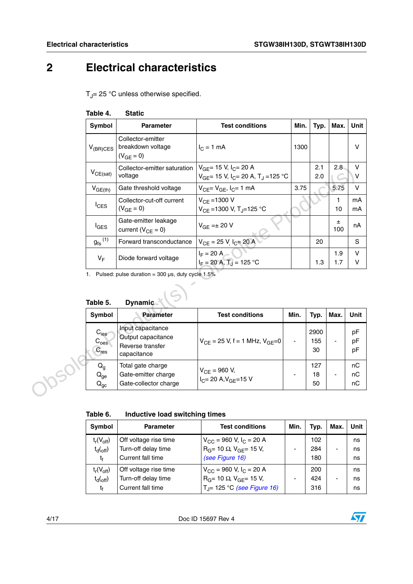## <span id="page-3-0"></span>**2 Electrical characteristics**

 $T_J$ = 25 °C unless otherwise specified.

| Symbol                                           | <b>Parameter</b>                                                           | <b>Test conditions</b>                                                                           | Min. | Typ.              | Max.                         | Unit                  |
|--------------------------------------------------|----------------------------------------------------------------------------|--------------------------------------------------------------------------------------------------|------|-------------------|------------------------------|-----------------------|
| $V_{(BR)CES}$                                    | Collector-emitter<br>breakdown voltage<br>$(V_{GE} = 0)$                   | $I_C = 1$ mA                                                                                     | 1300 |                   |                              | V                     |
| $V_{CE(sat)}$                                    | Collector-emitter saturation<br>voltage                                    | $V_{GF}$ = 15 V, $I_C$ = 20 A<br>$V_{GE}$ = 15 V, I <sub>C</sub> = 20 A, T <sub>J</sub> = 125 °C |      | 2.1<br>2.0        | 2.8                          | $\mathsf V$<br>$\vee$ |
| $V_{GE(th)}$                                     | Gate threshold voltage                                                     | $V_{CE} = V_{GE}$ , $I_C = 1$ mA                                                                 | 3.75 |                   | 5.75                         | $\vee$                |
| $I_{CES}$                                        | Collector-cut-off current<br>$(V_{GE} = 0)$                                | $V_{CE} = 1300 V$<br>$V_{CE}$ = 1300 V, T <sub>J</sub> =125 °C                                   |      |                   | 1<br>10                      | mA<br>mA              |
| $I_{\text{GES}}$                                 | Gate-emitter leakage<br>current ( $V_{CF} = 0$ )                           | $V_{GE} = \pm 20 V$                                                                              |      |                   | Ŧ.<br>100                    | nA                    |
| $g_{\text{fs}}^{(1)}$                            | Forward transconductance                                                   | $V_{CE}$ = 25 V, $I_C$ = 20 A                                                                    |      | 20                |                              | $\mathsf{s}$          |
| $V_F$                                            | Diode forward voltage                                                      | $I_F = 20 A$<br>$I_F = 20 A, T_1 = 125 °C$                                                       |      | 1.3               | 1.9<br>1.7                   | $\vee$<br>V           |
|                                                  |                                                                            |                                                                                                  |      |                   |                              |                       |
| Table 5.                                         | <b>Dynamic</b>                                                             |                                                                                                  |      |                   |                              |                       |
| Symbol                                           | <b>Parameter</b>                                                           | <b>Test conditions</b>                                                                           | Min. | Typ.              | Max.                         | Unit                  |
| $C_{\text{ies}}$<br>$C_{\rm {oes}}$<br>$C_{res}$ | Input capacitance<br>Output capacitance<br>Reverse transfer<br>capacitance | $V_{CF}$ = 25 V, f = 1 MHz, $V_{GF}$ =0                                                          |      | 2900<br>155<br>30 | $\qquad \qquad \blacksquare$ | pF<br>pF<br>pF        |

### **Table 4. Static**

# **Table 5. Dynamic**

| Symbol                                           | <b>Parameter</b>                                                           | <b>Test conditions</b>                                      | Min.                     | Typ.              | Max.                     | <b>Unit</b>    |
|--------------------------------------------------|----------------------------------------------------------------------------|-------------------------------------------------------------|--------------------------|-------------------|--------------------------|----------------|
| $C_{\text{ies}}$<br>$C_{\rm {oes}}$<br>$C_{res}$ | Input capacitance<br>Output capacitance<br>Reverse transfer<br>capacitance | $V_{CF}$ = 25 V, f = 1 MHz, $V_{GF}$ =0                     | $\overline{\phantom{0}}$ | 2900<br>155<br>30 | -                        | pF<br>pF<br>pF |
| $Q_g$<br>$Q_{ge}$<br>$Q_{gc}$                    | Total gate charge<br>Gate-emitter charge<br>Gate-collector charge          | $V_{CE}$ = 960 V,<br>$I_{C}$ = 20 A, V <sub>GE</sub> = 15 V |                          | 127<br>18<br>50   | $\overline{\phantom{0}}$ | nC<br>nC<br>nC |

| Table 6. | Inductive load switching times |  |  |
|----------|--------------------------------|--|--|
|          |                                |  |  |

| Symbol         | <b>Parameter</b>      | <b>Test conditions</b>                  | Min. | Typ. | Max.                     | Unit |
|----------------|-----------------------|-----------------------------------------|------|------|--------------------------|------|
| $t_r(V_{off})$ | Off voltage rise time | $V_{CC}$ = 960 V, I <sub>C</sub> = 20 A |      | 102  |                          | ns   |
| $t_{d(off)}$   | Turn-off delay time   | $R_G$ = 10 $\Omega$ , $V_{GF}$ = 15 V,  |      | 284  | $\overline{\phantom{0}}$ | ns   |
| t              | Current fall time     | (see Figure 16)                         |      | 180  |                          | ns   |
| $t_r(V_{off})$ | Off voltage rise time | $V_{CC}$ = 960 V, I <sub>C</sub> = 20 A |      | 200  |                          | ns   |
| $t_{d(off)}$   | Turn-off delay time   | $R_G$ = 10 $\Omega$ , $V_{GE}$ = 15 V,  |      | 424  | $\overline{\phantom{0}}$ | ns   |
| t,             | Current fall time     | $T_{\rm J}$ = 125 °C (see Figure 16)    |      | 316  |                          | ns   |

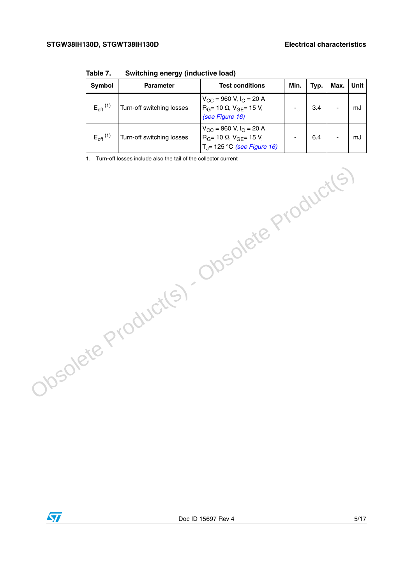| Symbol                 | <b>Parameter</b>          | <b>Test conditions</b>                                                                                              | Min. | Typ. | Max. | Unit |
|------------------------|---------------------------|---------------------------------------------------------------------------------------------------------------------|------|------|------|------|
| $E_{\text{off}}^{(1)}$ | Turn-off switching losses | $V_{CC}$ = 960 V, I <sub>C</sub> = 20 A<br>$R_G$ = 10 $\Omega$ , $V_{GE}$ = 15 V,<br>(see Figure 16)                |      | 3.4  |      | mJ   |
| $E_{\text{off}}^{(1)}$ | Turn-off switching losses | $V_{CC}$ = 960 V, $I_C$ = 20 A<br>$R_G$ = 10 $\Omega$ , $V_{GF}$ = 15 V,<br>T <sub>J</sub> = 125 °C (see Figure 16) |      | 6.4  |      | mJ   |

**Table 7. Switching energy (inductive load)**

1. Turn-off losses include also the tail of the collector current

Obsolete Product(s) - Obsolete Product(s)

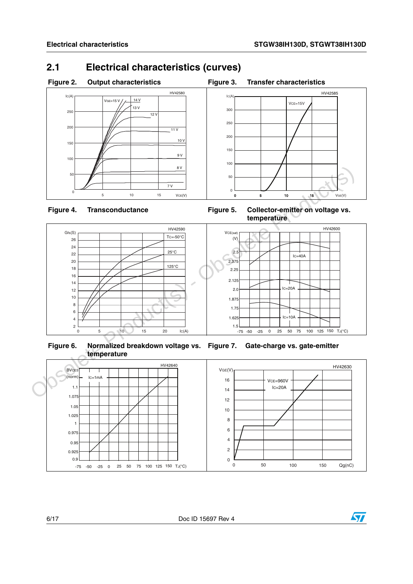## <span id="page-5-0"></span>**2.1 Electrical characteristics (curves)**





Figure 4. Transconductance **Figure 5. Collector-emitter on voltage vs. temperature**



**Figure 6. Normalized breakdown voltage vs. Figure 7. Gate-charge vs. gate-emitter temperature**



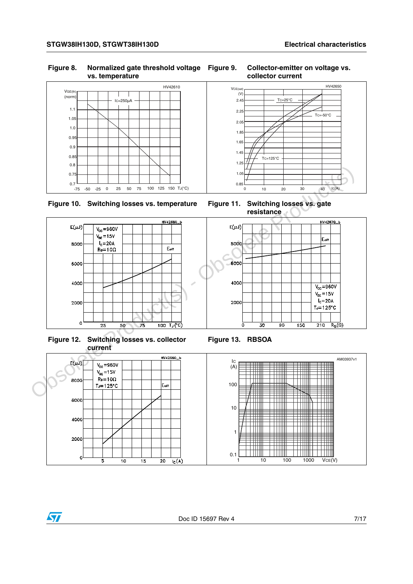### **Figure 8. Normalized gate threshold voltage vs. temperature**







**Figure 12. Switching losses vs. collector current**



### **Figure 9. Collector-emitter on voltage vs. collector current**



**resistance**







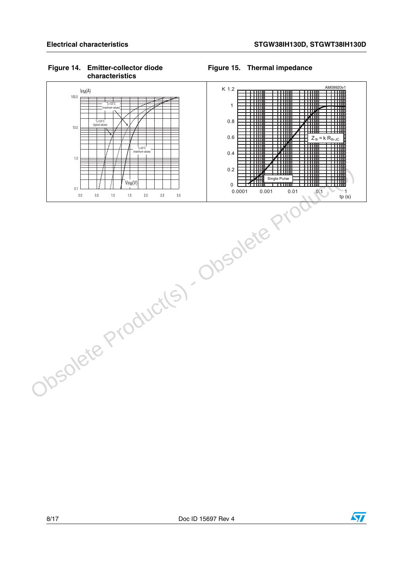### **Figure 14. Emitter-collector diode characteristics**

### <span id="page-7-0"></span>**Figure 15. Thermal impedance**



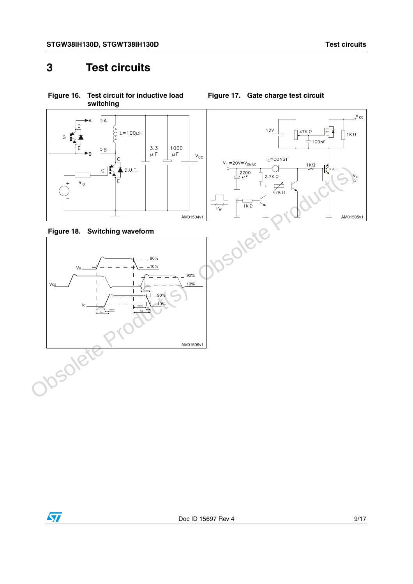**Figure 17. Gate charge test circuit**

## <span id="page-8-0"></span>**3 Test circuits**



<span id="page-8-1"></span>**Figure 16. Test circuit for inductive load switching**

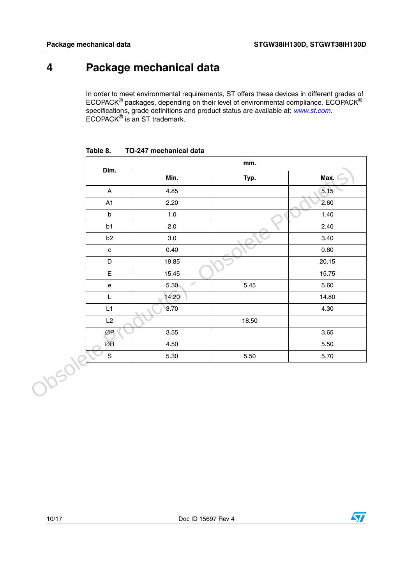## <span id="page-9-0"></span>**4 Package mechanical data**

In order to meet environmental requirements, ST offers these devices in different grades of ECOPACK® packages, depending on their level of environmental compliance. ECOPACK® specifications, grade definitions and product status are available at: [www.st.com](http://www.st.com). ECOPACK® is an ST trademark.

|        |                                   | mm.                       |       |       |  |  |
|--------|-----------------------------------|---------------------------|-------|-------|--|--|
|        | Dim.                              | Min.                      | Typ.  | Max.  |  |  |
|        | $\boldsymbol{\mathsf{A}}$         | 4.85                      |       | 5.15  |  |  |
|        | A1                                | 2.20                      |       | 2.60  |  |  |
|        | $\sf b$                           | $1.0$                     |       | 1.40  |  |  |
|        | b1                                | 2.0                       |       | 2.40  |  |  |
|        | b2                                | $3.0\,$                   |       | 3.40  |  |  |
|        | $\mathtt{C}$                      | 0.40                      |       | 0.80  |  |  |
|        | D                                 | 19.85                     |       | 20.15 |  |  |
|        | E                                 | 15.45                     |       | 15.75 |  |  |
|        | $\mathsf{e}% _{t}\left( t\right)$ | $\mathcal{P}$<br>$5.30 -$ | 5.45  | 5.60  |  |  |
|        | L                                 | 14.20                     |       | 14.80 |  |  |
|        | L1                                | 3.70                      |       | 4.30  |  |  |
|        | L2                                |                           | 18.50 |       |  |  |
|        | ØR                                | 3.55                      |       | 3.65  |  |  |
|        | $\oslash$ R                       | 4.50                      |       | 5.50  |  |  |
|        | $\mathsf S$                       | 5.30                      | 5.50  | 5.70  |  |  |
| Obsole |                                   |                           |       |       |  |  |

<span id="page-9-1"></span>**Table 8. TO-247 mechanical data**

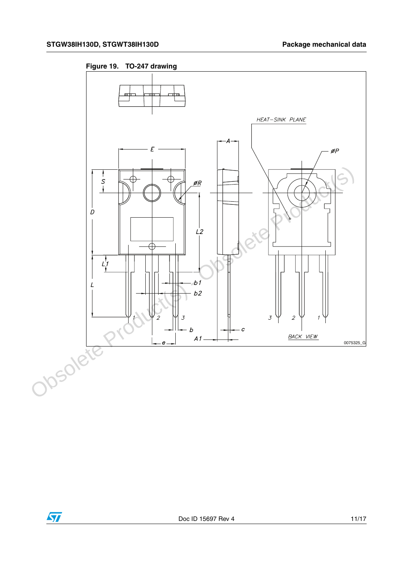<span id="page-10-0"></span>



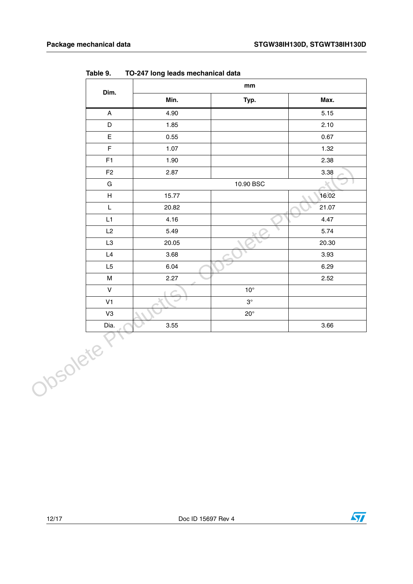|          | Dim.                      | $\mathop{\text{mm}}\nolimits$ |              |       |
|----------|---------------------------|-------------------------------|--------------|-------|
|          |                           | Min.                          | Typ.         | Max.  |
|          | $\boldsymbol{\mathsf{A}}$ | 4.90                          |              | 5.15  |
|          | D                         | 1.85                          |              | 2.10  |
|          | $\mathsf E$               | 0.55                          |              | 0.67  |
|          | $\mathsf F$               | 1.07                          |              | 1.32  |
|          | F1                        | 1.90                          |              | 2.38  |
|          | F <sub>2</sub>            | 2.87                          |              | 3.38  |
|          | ${\bf G}$                 |                               | 10.90 BSC    |       |
|          | $\boldsymbol{\mathsf{H}}$ | 15.77                         |              | 16.02 |
|          | L                         | 20.82                         |              | 21.07 |
|          | L1                        | 4.16                          |              | 4.47  |
|          | L2                        | 5.49                          |              | 5.74  |
|          | L <sub>3</sub>            | 20.05                         |              | 20.30 |
|          | L4                        | 3.68                          |              | 3.93  |
|          | L5                        | 6.04                          |              | 6.29  |
|          | M                         | 2.27                          |              | 2.52  |
|          | ${\sf V}$                 |                               | $10^{\circ}$ |       |
|          | V <sub>1</sub>            |                               | $3^\circ$    |       |
|          | V3                        |                               | $20^{\circ}$ |       |
|          | Dia.                      | 3.55                          |              | 3.66  |
| Obsolete |                           |                               |              |       |

**Table 9. TO-247 long leads mechanical data**



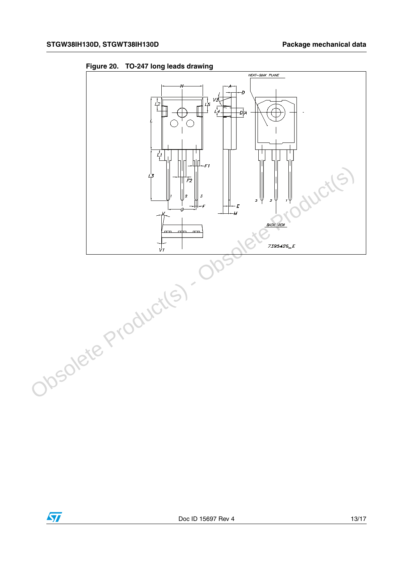

**Figure 20. TO-247 long leads drawing**

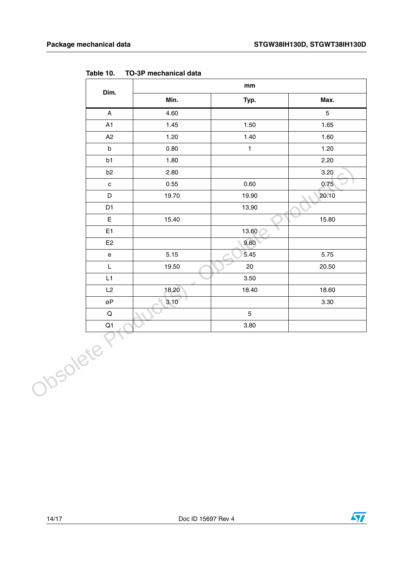|                                   |       | $\mathop{\text{mm}}\nolimits$ |                |  |
|-----------------------------------|-------|-------------------------------|----------------|--|
| Dim.                              | Min.  | Typ.                          | Max.           |  |
| $\boldsymbol{\mathsf{A}}$         | 4.60  |                               | $\overline{5}$ |  |
| A1                                | 1.45  | 1.50                          | 1.65           |  |
| A2                                | 1.20  | 1.40                          | 1.60           |  |
| $\sf b$                           | 0.80  | $\mathbf{1}$                  | 1.20           |  |
| b1                                | 1.80  |                               | 2.20           |  |
| b <sub>2</sub>                    | 2.80  |                               | 3.20           |  |
| $\mathtt{c}$                      | 0.55  | 0.60                          | 0.75           |  |
| D                                 | 19.70 | 19.90                         | 20.10          |  |
| D <sub>1</sub>                    |       | 13.90                         |                |  |
| $\mathsf E$                       | 15.40 |                               | 15.80          |  |
| E <sub>1</sub>                    |       | 13.60                         |                |  |
| E2                                |       | 9.60                          |                |  |
| $\mathsf{e}% _{t}\left( t\right)$ | 5.15  | 5.45                          | 5.75           |  |
| $\mathsf L$                       | 19.50 | $20\,$                        | 20.50          |  |
| L1                                |       | 3.50                          |                |  |
| L2                                | 18.20 | 18.40                         | 18.60          |  |
| øΡ                                | 3.10  |                               | 3.30           |  |
| $\mathsf Q$                       |       | 5                             |                |  |
| Q1                                |       | 3.80                          |                |  |
| Obsolete                          |       |                               |                |  |

<span id="page-13-0"></span>**Table 10. TO-3P mechanical data**

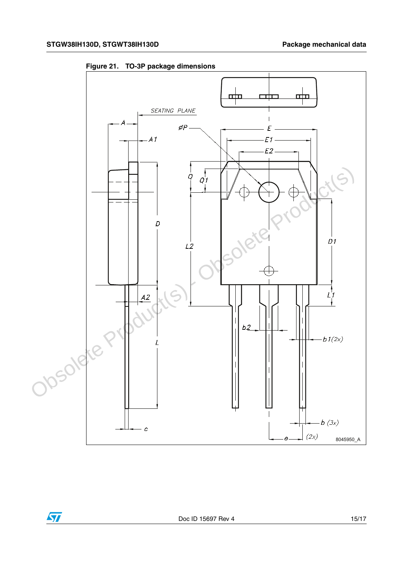

<span id="page-14-0"></span>**Figure 21. TO-3P package dimensions**

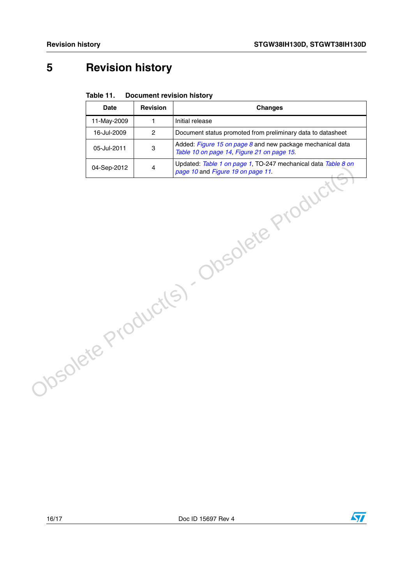## <span id="page-15-0"></span>**5 Revision history**

#### Table 11. **Document revision history**

|                                       | <b>Date</b> | <b>Revision</b>         | <b>Changes</b>                                                                                           |
|---------------------------------------|-------------|-------------------------|----------------------------------------------------------------------------------------------------------|
|                                       | 11-May-2009 | $\mathbf{1}$            | Initial release                                                                                          |
|                                       | 16-Jul-2009 | $\overline{2}$          | Document status promoted from preliminary data to datasheet                                              |
|                                       | 05-Jul-2011 | 3                       | Added: Figure 15 on page 8 and new package mechanical data<br>Table 10 on page 14, Figure 21 on page 15. |
|                                       | 04-Sep-2012 | $\overline{\mathbf{4}}$ | Updated: Table 1 on page 1, TO-247 mechanical data Table 8 on                                            |
| Obsolete Product(s). Obsolete Product |             |                         |                                                                                                          |